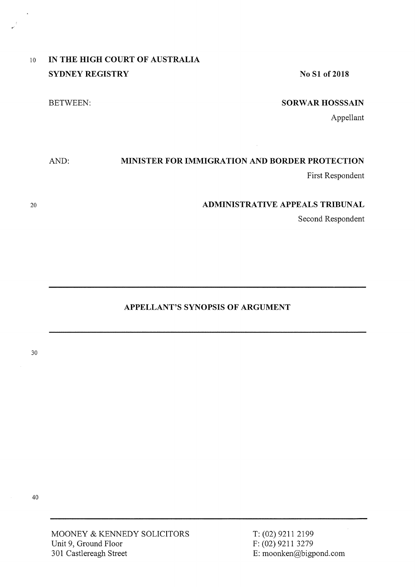| $10^{-}$ | IN THE HIGH COURT OF AUSTRALIA |                      |
|----------|--------------------------------|----------------------|
|          | <b>SYDNEY REGISTRY</b>         | No S1 of 2018        |
|          | BETWEEN:                       | <b>SORWAR HOSSS.</b> |

## **SORWAR HOSSSAIN**

Appellant

# AND: **MINISTER FOR IMMIGRATION AND BORDER PROTECTION**

First Respondent

### **ADMINISTRATIVE APPEALS TRIBUNAL**

Second Respondent

## **APPELLANT'S SYNOPSIS OF ARGUMENT**

30

20

 $\overline{a}$ 

MOONEY & KENNEDY SOLICITORS Unit 9, Ground Floor 301 Castlereagh Street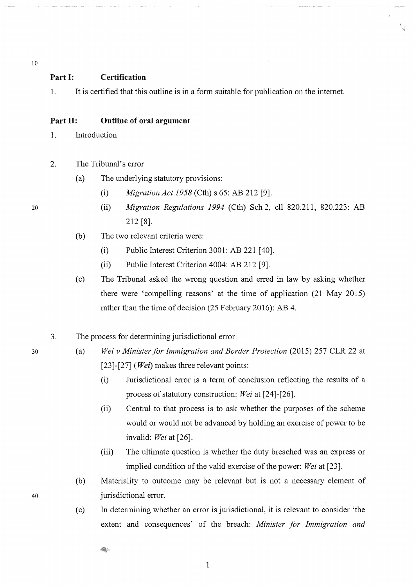10

#### **Part I: Certification**

1. It is certified that this outline is in a form suitable for publication on the intemet.

#### **Part II: Outline of oral argument**

- 1. Introduction
- 2. The Tribunal's error
	- (a) The underlying statutory provisions:
		- (i) *Migration Act 1958* (Cth) s 65: AB 212 [9].
		- (ii) *Migration Regulations 1994* (Cth) Sch 2, ell 820.211, 820.223: AB 212 [8].
	- (b) The two relevant criteria were:
		- (i) Public Interest Criterion 3001: AB 221 [40].
		- (ii) Public Interest Criterion 4004: AB 212 [9].
	- (c) The Tribunal asked the wrong question and erred in law by asking whether there were 'compelling reasons' at the time of application (21 May 2015) rather than the time of decision (25 February 2016): AB 4.
- 3. The process for determining jurisdictional error
	- (a) *Wei v Minister for Immigration and Border Protection* (2015) 257 CLR 22 at [23]-[27] *(Wei)* makes three relevant points:
		- (i) Jurisdictional error is a term of conclusion reflecting the results of a process of statutory construction: *Wei* at [24]-[26].
		- (ii) Central to that process is to ask whether the purposes of the scheme would or would not be advanced by holding an exercise of power to be invalid: *Wei* at [26].
		- (iii) The ultimate question is whether the duty breached was an express or implied condition of the valid exercise of the power: *Wei* at [23].
		- (b) Materiality to outcome may be relevant but is not a necessary element of jurisdictional error.
		- (c) In determining whether an error is jurisdictional, it is relevant to consider 'the extent and consequences' of the breach: *Minister for Immigration and*

20

30

40

4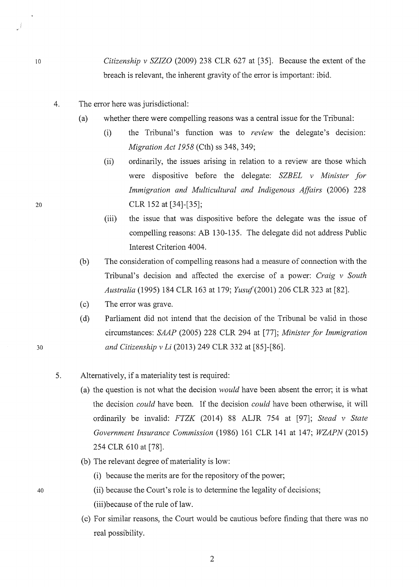*Citizenship v SZIZO* (2009) 238 CLR 627 at [35]. Because the extent of the breach is relevant, the inherent gravity of the error is important: ibid.

- 4. The error here was jurisdictional:
	- (a) whether there were compelling reasons was a central issue for the Tribunal:
		- (i) the Tribunal's function was to *review* the delegate's decision: *Migration Act 1958* (Cth) ss 348, 349;
		- (ii) ordinarily, the issues arising in relation to a review are those which were dispositive before the delegate: *SZBEL v Minister for Immigration and Multicultural and Indigenous Affairs* (2006) 228 CLR 152 at [34]-[35];
		- (iii) the issue that was dispositive before the delegate was the issue of compelling reasons: AB 130-135. The delegate did not address Public Interest Criterion 4004.
	- (b) The consideration of compelling reasons had a measure of connection with the Tribunal's decision and affected the exercise of a power: *Craig v South Australia* (1995) 184 CLR 163 at 179; *Yusuf(2001)* 206 CLR 323 at [82].
	- (c) The error was grave.
	- (d) Parliament did not intend that the decision of the Tribunal be valid in those circumstances: *SAAP* (2005) 228 CLR 294 at [77]; *Minister for Immigration and Citizenship v Li* (2013) 249 CLR 332 at [85]-[86].
- 5. Alternatively, if a materiality test is required:
	- (a) the question is not what the decision *would* have been absent the error; it is what the decision *could* have been. If the decision *could* have been otherwise, it will ordinarily be invalid: *FTZK* (2014) 88 ALJR 754 at [97]; *Stead v State Government Insurance Commission* (1986) 161 CLR 141 at 147; *WZAPN* (2015) 254 CLR 610 at [78].
	- (b) The relevant degree of materiality is low:
		- (i) because the merits are for the repository of the power;
		- (ii) because the Court's role is to determine the legality of decisions;
		- (iii) because of the rule of law.
	- (c) For similar reasons, the Court would be cautious before finding that there was no real possibility.

20

10